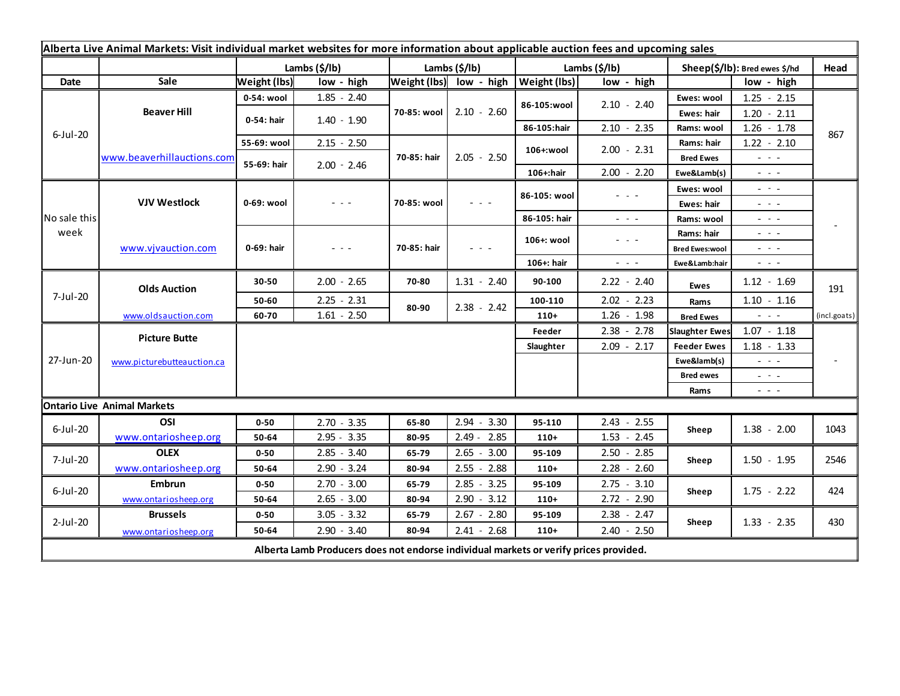| Alberta Live Animal Markets: Visit individual market websites for more information about applicable auction fees and upcoming sales |                                    |                           |               |                       |                                                                                                                        |               |                                                                                                                           |                               |                                                                                                                        |              |
|-------------------------------------------------------------------------------------------------------------------------------------|------------------------------------|---------------------------|---------------|-----------------------|------------------------------------------------------------------------------------------------------------------------|---------------|---------------------------------------------------------------------------------------------------------------------------|-------------------------------|------------------------------------------------------------------------------------------------------------------------|--------------|
|                                                                                                                                     |                                    | Lambs $(\frac{2}{3})$ lb) |               | Lambs $(\frac{2}{3})$ |                                                                                                                        | Lambs (\$/lb) |                                                                                                                           | Sheep(\$/lb): Bred ewes \$/hd |                                                                                                                        | Head         |
| Date                                                                                                                                | Sale                               | <b>Weight (lbs)</b>       | low - high    |                       | Weight (lbs) low - high                                                                                                | Weight (lbs)  | low - high                                                                                                                |                               | low - high                                                                                                             |              |
| $6$ -Jul-20                                                                                                                         | <b>Beaver Hill</b>                 | 0-54: wool                | $1.85 - 2.40$ | 70-85: wool           | $2.10 - 2.60$                                                                                                          | 86-105:wool   | $2.10 - 2.40$                                                                                                             | Ewes: wool                    | $1.25 - 2.15$                                                                                                          |              |
|                                                                                                                                     |                                    | 0-54: hair                | $1.40 - 1.90$ |                       |                                                                                                                        |               |                                                                                                                           | Ewes: hair                    | $1.20 - 2.11$                                                                                                          |              |
|                                                                                                                                     |                                    |                           |               |                       |                                                                                                                        | 86-105:hair   | $2.10 - 2.35$                                                                                                             | Rams: wool                    | $1.26 - 1.78$                                                                                                          | 867          |
|                                                                                                                                     | www.beaverhillauctions.com         | 55-69: wool               | $2.15 - 2.50$ | 70-85: hair           | $2.05 - 2.50$                                                                                                          | 106+:wool     | $2.00 - 2.31$                                                                                                             | Rams: hair                    | $1.22 - 2.10$                                                                                                          |              |
|                                                                                                                                     |                                    | 55-69: hair               | $2.00 - 2.46$ |                       |                                                                                                                        |               |                                                                                                                           | <b>Bred Ewes</b>              | $- - -$                                                                                                                |              |
|                                                                                                                                     |                                    |                           |               |                       |                                                                                                                        | 106+:hair     | $2.00 - 2.20$                                                                                                             | Ewe&Lamb(s)                   | - - -                                                                                                                  |              |
| No sale this<br>week                                                                                                                | <b>VJV Westlock</b>                | 0-69: wool                | - - -         | 70-85: wool           | $\frac{1}{2} \left( \frac{1}{2} \right) \frac{1}{2} \left( \frac{1}{2} \right) \frac{1}{2} \left( \frac{1}{2} \right)$ | 86-105: wool  | $  -$                                                                                                                     | Ewes: wool                    | $\sim$ $\sim$ $\sim$                                                                                                   |              |
|                                                                                                                                     |                                    |                           |               |                       |                                                                                                                        |               |                                                                                                                           | Ewes: hair                    | $\frac{1}{2} \left( \frac{1}{2} \right) = \frac{1}{2} \left( \frac{1}{2} \right)$                                      |              |
|                                                                                                                                     |                                    |                           |               |                       |                                                                                                                        | 86-105: hair  | $\sim$ $\sim$ $\sim$                                                                                                      | Rams: wool                    | $  -$                                                                                                                  |              |
|                                                                                                                                     | www.vjvauction.com                 | 0-69: hair                | - - -         | 70-85: hair           | $  -$                                                                                                                  | 106+: wool    | $\frac{1}{2} \left( \frac{1}{2} \right) \left( \frac{1}{2} \right) \left( \frac{1}{2} \right) \left( \frac{1}{2} \right)$ | Rams: hair                    | $\omega_{\rm{eff}}$ and $\omega_{\rm{eff}}$                                                                            |              |
|                                                                                                                                     |                                    |                           |               |                       |                                                                                                                        |               |                                                                                                                           | <b>Bred Ewes:wool</b>         | $  -$                                                                                                                  |              |
|                                                                                                                                     |                                    |                           |               |                       |                                                                                                                        | 106+: hair    | $ -$                                                                                                                      | Ewe&Lamb:hair                 | $\frac{1}{2} \left( \frac{1}{2} \right) \frac{1}{2} \left( \frac{1}{2} \right) \frac{1}{2} \left( \frac{1}{2} \right)$ |              |
| 7-Jul-20                                                                                                                            | <b>Olds Auction</b>                | 30-50                     | $2.00 - 2.65$ | 70-80                 | $1.31 - 2.40$                                                                                                          | 90-100        | $2.22 - 2.40$                                                                                                             | Ewes                          | $1.12 - 1.69$                                                                                                          | 191          |
|                                                                                                                                     |                                    | 50-60                     | $2.25 - 2.31$ | 80-90                 | $2.38 - 2.42$                                                                                                          | 100-110       | $2.02 - 2.23$                                                                                                             | Rams                          | $1.10 - 1.16$                                                                                                          |              |
|                                                                                                                                     | www.oldsauction.com                | 60-70                     | $1.61 - 2.50$ |                       |                                                                                                                        | $110+$        | $1.26 - 1.98$                                                                                                             | <b>Bred Ewes</b>              | $\frac{1}{2} \left( \frac{1}{2} \right) \left( \frac{1}{2} \right) \left( \frac{1}{2} \right)$                         | (incl.goats) |
| 27-Jun-20                                                                                                                           | <b>Picture Butte</b>               |                           |               |                       |                                                                                                                        | Feeder        | $2.38 - 2.78$                                                                                                             | <b>Slaughter Ewes</b>         | $1.07 - 1.18$                                                                                                          |              |
|                                                                                                                                     | www.picturebutteauction.ca         |                           |               |                       |                                                                                                                        | Slaughter     | $2.09 - 2.17$                                                                                                             | <b>Feeder Ewes</b>            | $1.18 - 1.33$                                                                                                          |              |
|                                                                                                                                     |                                    |                           |               |                       |                                                                                                                        |               |                                                                                                                           | Ewe&lamb(s)                   | $  -$                                                                                                                  |              |
|                                                                                                                                     |                                    |                           |               |                       |                                                                                                                        |               |                                                                                                                           | <b>Bred ewes</b>              | $\sim$ $\sim$ $\sim$                                                                                                   |              |
|                                                                                                                                     |                                    |                           |               |                       |                                                                                                                        |               |                                                                                                                           | Rams                          | $\frac{1}{2} \left( \frac{1}{2} \right) \frac{1}{2} \left( \frac{1}{2} \right) \frac{1}{2} \left( \frac{1}{2} \right)$ |              |
|                                                                                                                                     | <b>Ontario Live Animal Markets</b> |                           |               |                       |                                                                                                                        |               |                                                                                                                           |                               |                                                                                                                        |              |
| $6$ -Jul-20                                                                                                                         | OSI                                | $0 - 50$                  | $2.70 - 3.35$ | 65-80                 | $2.94 - 3.30$                                                                                                          | 95-110        | $2.43 - 2.55$                                                                                                             | Sheep                         | $1.38 - 2.00$                                                                                                          | 1043         |
|                                                                                                                                     | www.ontariosheep.org               | 50-64                     | $2.95 - 3.35$ | 80-95                 | $2.49 - 2.85$                                                                                                          | $110+$        | $1.53 - 2.45$                                                                                                             |                               |                                                                                                                        |              |
| 7-Jul-20                                                                                                                            | <b>OLEX</b>                        | $0 - 50$                  | $2.85 - 3.40$ | 65-79                 | $2.65 - 3.00$                                                                                                          | 95-109        | $2.50 - 2.85$                                                                                                             | Sheep                         | $1.50 - 1.95$                                                                                                          | 2546         |
|                                                                                                                                     | www.ontariosheep.org               | 50-64                     | $2.90 - 3.24$ | 80-94                 | $2.55 - 2.88$                                                                                                          | $110+$        | $2.28 - 2.60$                                                                                                             |                               |                                                                                                                        |              |
| $6$ -Jul-20                                                                                                                         | Embrun                             | $0 - 50$                  | $2.70 - 3.00$ | 65-79                 | $2.85 - 3.25$                                                                                                          | 95-109        | $2.75 - 3.10$                                                                                                             | Sheep                         | $1.75 - 2.22$                                                                                                          | 424          |
|                                                                                                                                     | www.ontariosheep.org               | 50-64                     | $2.65 - 3.00$ | 80-94                 | $2.90 - 3.12$                                                                                                          | $110+$        | $2.72 - 2.90$                                                                                                             |                               |                                                                                                                        |              |
| 2-Jul-20                                                                                                                            | <b>Brussels</b>                    | $0 - 50$                  | $3.05 - 3.32$ | 65-79                 | $2.67 - 2.80$                                                                                                          | 95-109        | $2.38 - 2.47$                                                                                                             | Sheep                         | $1.33 - 2.35$                                                                                                          | 430          |
|                                                                                                                                     | www.ontariosheep.org               | 50-64                     | $2.90 - 3.40$ | 80-94                 | $2.41 - 2.68$                                                                                                          | $110+$        | $2.40 - 2.50$                                                                                                             |                               |                                                                                                                        |              |
| Alberta Lamb Producers does not endorse individual markets or verify prices provided.                                               |                                    |                           |               |                       |                                                                                                                        |               |                                                                                                                           |                               |                                                                                                                        |              |